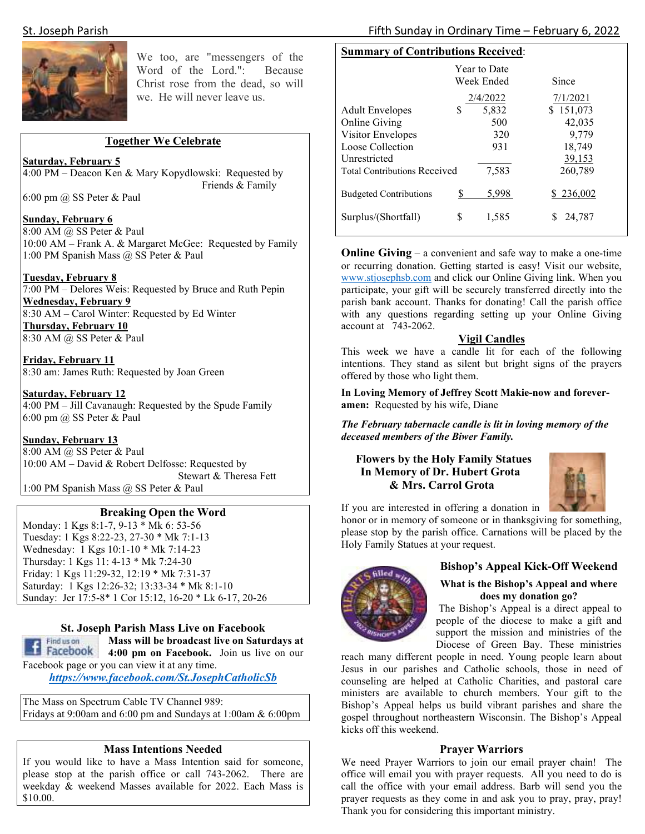

We too, are "messengers of the Word of the Lord.": Because Christ rose from the dead, so will we. He will never leave us.

# **Together We Celebrate**

# **Saturday, February 5**

4:00 PM – Deacon Ken & Mary Kopydlowski: Requested by Friends & Family

6:00 pm @ SS Peter & Paul

# **Sunday, February 6**

8:00 AM @ SS Peter & Paul 10:00 AM – Frank A. & Margaret McGee: Requested by Family 1:00 PM Spanish Mass @ SS Peter & Paul

**Tuesday, February 8** 

7:00 PM – Delores Weis: Requested by Bruce and Ruth Pepin **Wednesday, February 9**  8:30 AM – Carol Winter: Requested by Ed Winter **Thursday, February 10**  8:30 AM @ SS Peter & Paul

**Friday, February 11**  8:30 am: James Ruth: Requested by Joan Green

**Saturday, February 12**  4:00 PM – Jill Cavanaugh: Requested by the Spude Family 6:00 pm @ SS Peter & Paul

# **Sunday, February 13**

8:00 AM @ SS Peter & Paul 10:00 AM – David & Robert Delfosse: Requested by Stewart & Theresa Fett 1:00 PM Spanish Mass @ SS Peter & Paul

# **Breaking Open the Word**

Monday: 1 Kgs 8:1-7, 9-13 \* Mk 6: 53-56 Tuesday: 1 Kgs 8:22-23, 27-30 \* Mk 7:1-13 Wednesday: 1 Kgs 10:1-10 \* Mk 7:14-23 Thursday: 1 Kgs 11: 4-13 \* Mk 7:24-30 Friday: 1 Kgs 11:29-32, 12:19 \* Mk 7:31-37 Saturday: 1 Kgs 12:26-32; 13:33-34 \* Mk 8:1-10 Sunday: Jer 17:5-8\* 1 Cor 15:12, 16-20 \* Lk 6-17, 20-26

# **St. Joseph Parish Mass Live on Facebook**



**Mass will be broadcast live on Saturdays at 4:00 pm on Facebook.** Join us live on our Facebook page or you can view it at any time.

*https://www.facebook.com/St.JosephCatholicSb* 

The Mass on Spectrum Cable TV Channel 989: Fridays at 9:00am and 6:00 pm and Sundays at 1:00am & 6:00pm

#### **Mass Intentions Needed**

If you would like to have a Mass Intention said for someone, please stop at the parish office or call 743-2062. There are weekday & weekend Masses available for 2022. Each Mass is \$10.00.

## St. Joseph Parish Fifth Sunday in Ordinary Time – February 6, 2022

# **Summary of Contributions Received**:

|                                     |   | <b>Year to Date</b><br>Week Ended | Since     |
|-------------------------------------|---|-----------------------------------|-----------|
|                                     |   | 2/4/2022                          | 7/1/2021  |
| <b>Adult Envelopes</b>              | S | 5,832                             | \$151,073 |
| Online Giving                       |   | 500                               | 42,035    |
| <b>Visitor Envelopes</b>            |   | 320                               | 9,779     |
| Loose Collection                    |   | 931                               | 18,749    |
| Unrestricted                        |   |                                   | 39,153    |
| <b>Total Contributions Received</b> |   | 7,583                             | 260,789   |
| <b>Budgeted Contributions</b>       |   | 5,998                             | \$236,002 |
| Surplus/(Shortfall)                 | S | 1,585                             | 24,787    |

**Online Giving** – a convenient and safe way to make a one-time or recurring donation. Getting started is easy! Visit our website, www.stjosephsb.com and click our Online Giving link. When you participate, your gift will be securely transferred directly into the parish bank account. Thanks for donating! Call the parish office with any questions regarding setting up your Online Giving account at 743-2062.

# **Vigil Candles**

This week we have a candle lit for each of the following intentions. They stand as silent but bright signs of the prayers offered by those who light them.

**In Loving Memory of Jeffrey Scott Makie-now and foreveramen:** Requested by his wife, Diane

*The February tabernacle candle is lit in loving memory of the deceased members of the Biwer Family.* 

# **Flowers by the Holy Family Statues In Memory of Dr. Hubert Grota & Mrs. Carrol Grota**



If you are interested in offering a donation in

honor or in memory of someone or in thanksgiving for something, please stop by the parish office. Carnations will be placed by the Holy Family Statues at your request.



# **Bishop's Appeal Kick-Off Weekend**

# **What is the Bishop's Appeal and where does my donation go?**

 The Bishop's Appeal is a direct appeal to people of the diocese to make a gift and support the mission and ministries of the Diocese of Green Bay. These ministries

reach many different people in need. Young people learn about Jesus in our parishes and Catholic schools, those in need of counseling are helped at Catholic Charities, and pastoral care ministers are available to church members. Your gift to the Bishop's Appeal helps us build vibrant parishes and share the gospel throughout northeastern Wisconsin. The Bishop's Appeal kicks off this weekend.

#### **Prayer Warriors**

We need Prayer Warriors to join our email prayer chain! The office will email you with prayer requests. All you need to do is call the office with your email address. Barb will send you the prayer requests as they come in and ask you to pray, pray, pray! Thank you for considering this important ministry.